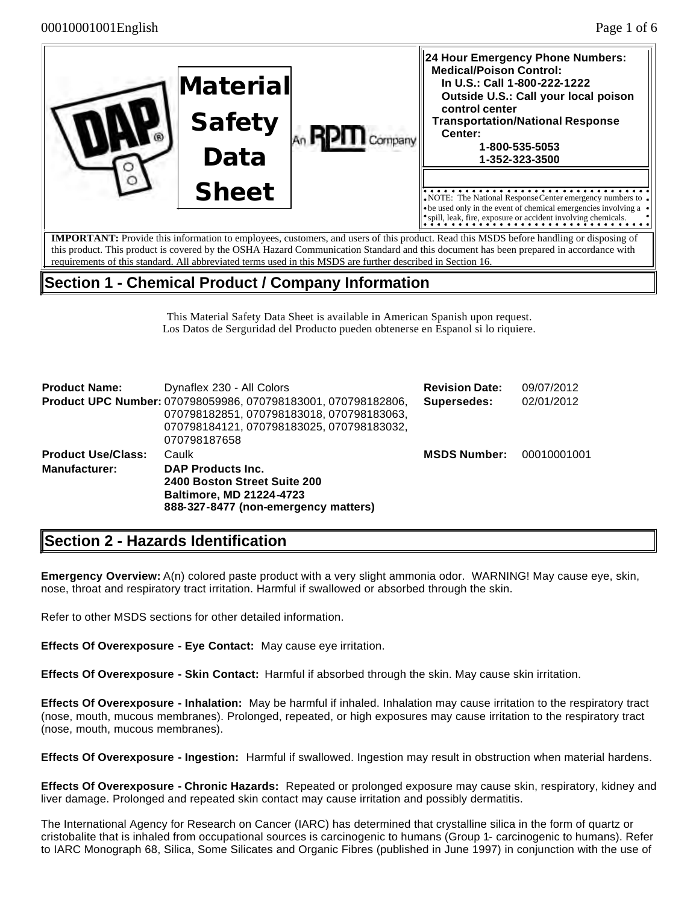|  | <b>Material</b><br><b>Safety</b><br>Data | <b>RPHI</b> Company | 24 Hour Emergency Phone Numbers:<br><b>Medical/Poison Control:</b><br>In U.S.: Call 1-800-222-1222<br>Outside U.S.: Call your local poison<br>control center<br><b>Transportation/National Response</b><br>Center:<br>1-800-535-5053<br>1-352-323-3500 |
|--|------------------------------------------|---------------------|--------------------------------------------------------------------------------------------------------------------------------------------------------------------------------------------------------------------------------------------------------|
|  | <b>Sheet</b>                             |                     | • NOTE: The National Response Center emergency numbers to $\bullet$<br>• be used only in the event of chemical emergencies involving a                                                                                                                 |
|  |                                          |                     | <i>spill</i> , leak, fire, exposure or accident involving chemicals.<br><b>IMPORTANT:</b> Provide this information to employees, customers, and users of this product. Read this MSDS before handling or disposing of                                  |

**IMPORTANT:** Provide this information to employees, customers, and users of this product. Read this MSDS before handling or disposing of this product. This product is covered by the OSHA Hazard Communication Standard and this document has been prepared in accordance with requirements of this standard. All abbreviated terms used in this MSDS are further described in Section 16.

## **Section 1 - Chemical Product / Company Information**

This Material Safety Data Sheet is available in American Spanish upon request. Los Datos de Serguridad del Producto pueden obtenerse en Espanol si lo riquiere.

| <b>Product Name:</b>      | Dynaflex 230 - All Colors                                                                                                                                               | <b>Revision Date:</b> | 09/07/2012  |
|---------------------------|-------------------------------------------------------------------------------------------------------------------------------------------------------------------------|-----------------------|-------------|
|                           | Product UPC Number: 070798059986, 070798183001, 070798182806,<br>070798182851, 070798183018, 070798183063,<br>070798184121, 070798183025, 070798183032,<br>070798187658 | Supersedes:           | 02/01/2012  |
| <b>Product Use/Class:</b> | Caulk                                                                                                                                                                   | <b>MSDS Number:</b>   | 00010001001 |
| <b>Manufacturer:</b>      | <b>DAP Products Inc.</b><br>2400 Boston Street Suite 200<br><b>Baltimore, MD 21224-4723</b><br>888-327-8477 (non-emergency matters)                                     |                       |             |

# **Section 2 - Hazards Identification**

**Emergency Overview:** A(n) colored paste product with a very slight ammonia odor. WARNING! May cause eye, skin, nose, throat and respiratory tract irritation. Harmful if swallowed or absorbed through the skin.

Refer to other MSDS sections for other detailed information.

**Effects Of Overexposure - Eye Contact:** May cause eye irritation.

**Effects Of Overexposure - Skin Contact:** Harmful if absorbed through the skin. May cause skin irritation.

**Effects Of Overexposure - Inhalation:** May be harmful if inhaled. Inhalation may cause irritation to the respiratory tract (nose, mouth, mucous membranes). Prolonged, repeated, or high exposures may cause irritation to the respiratory tract (nose, mouth, mucous membranes).

**Effects Of Overexposure - Ingestion:** Harmful if swallowed. Ingestion may result in obstruction when material hardens.

**Effects Of Overexposure - Chronic Hazards:** Repeated or prolonged exposure may cause skin, respiratory, kidney and liver damage. Prolonged and repeated skin contact may cause irritation and possibly dermatitis.

The International Agency for Research on Cancer (IARC) has determined that crystalline silica in the form of quartz or cristobalite that is inhaled from occupational sources is carcinogenic to humans (Group 1- carcinogenic to humans). Refer to IARC Monograph 68, Silica, Some Silicates and Organic Fibres (published in June 1997) in conjunction with the use of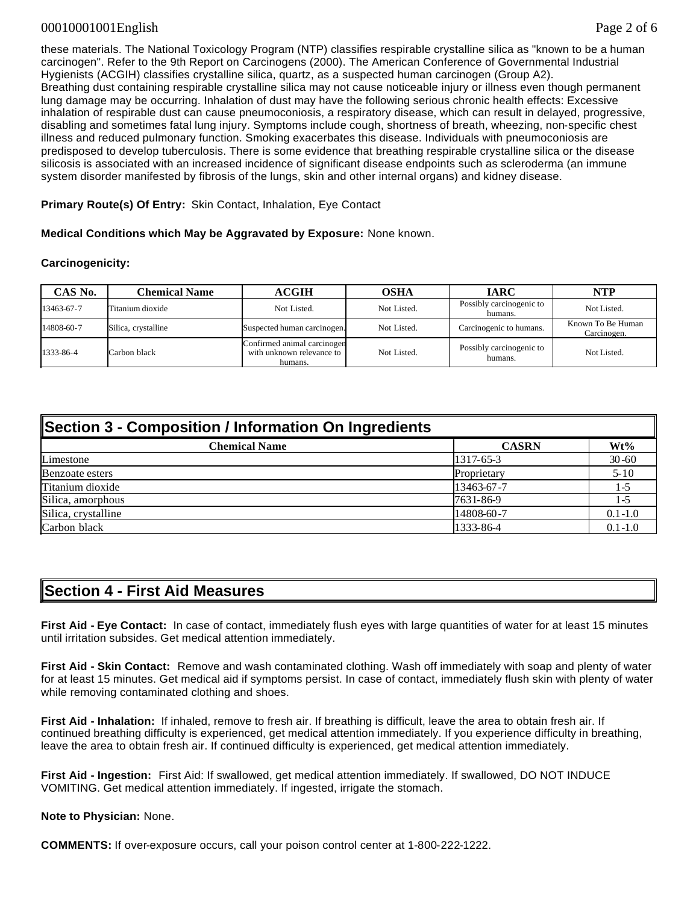#### 00010001001English Page 2 of 6

these materials. The National Toxicology Program (NTP) classifies respirable crystalline silica as "known to be a human carcinogen". Refer to the 9th Report on Carcinogens (2000). The American Conference of Governmental Industrial Hygienists (ACGIH) classifies crystalline silica, quartz, as a suspected human carcinogen (Group A2). Breathing dust containing respirable crystalline silica may not cause noticeable injury or illness even though permanent lung damage may be occurring. Inhalation of dust may have the following serious chronic health effects: Excessive inhalation of respirable dust can cause pneumoconiosis, a respiratory disease, which can result in delayed, progressive, disabling and sometimes fatal lung injury. Symptoms include cough, shortness of breath, wheezing, non-specific chest illness and reduced pulmonary function. Smoking exacerbates this disease. Individuals with pneumoconiosis are predisposed to develop tuberculosis. There is some evidence that breathing respirable crystalline silica or the disease silicosis is associated with an increased incidence of significant disease endpoints such as scleroderma (an immune system disorder manifested by fibrosis of the lungs, skin and other internal organs) and kidney disease.

**Primary Route(s) Of Entry:** Skin Contact, Inhalation, Eye Contact

**Medical Conditions which May be Aggravated by Exposure:** None known.

#### **Carcinogenicity:**

| CAS No.    | <b>Chemical Name</b> | <b>ACGIH</b>                                                        | OSHA        | <b>IARC</b>                         | NTP                              |
|------------|----------------------|---------------------------------------------------------------------|-------------|-------------------------------------|----------------------------------|
| 13463-67-7 | Titanium dioxide     | Not Listed.                                                         | Not Listed. | Possibly carcinogenic to<br>humans. | Not Listed.                      |
| 14808-60-7 | Silica, crystalline  | Suspected human carcinogen.                                         | Not Listed. | Carcinogenic to humans.             | Known To Be Human<br>Carcinogen. |
| 1333-86-4  | Carbon black         | Confirmed animal carcinogen<br>with unknown relevance to<br>humans. | Not Listed. | Possibly carcinogenic to<br>humans. | Not Listed.                      |

| Section 3 - Composition / Information On Ingredients |              |             |  |
|------------------------------------------------------|--------------|-------------|--|
| <b>Chemical Name</b>                                 | <b>CASRN</b> | Wt%         |  |
| Limestone                                            | 1317-65-3    | $30 - 60$   |  |
| Benzoate esters                                      | Proprietary  | $5 - 10$    |  |
| Titanium dioxide                                     | 13463-67-7   | 1-5         |  |
| Silica, amorphous                                    | 7631-86-9    | 1-5         |  |
| Silica, crystalline                                  | 14808-60-7   | $0.1 - 1.0$ |  |
| Carbon black                                         | 1333-86-4    | $0.1 - 1.0$ |  |

#### **Section 4 - First Aid Measures**

**First Aid - Eye Contact:** In case of contact, immediately flush eyes with large quantities of water for at least 15 minutes until irritation subsides. Get medical attention immediately.

**First Aid - Skin Contact:** Remove and wash contaminated clothing. Wash off immediately with soap and plenty of water for at least 15 minutes. Get medical aid if symptoms persist. In case of contact, immediately flush skin with plenty of water while removing contaminated clothing and shoes.

**First Aid - Inhalation:** If inhaled, remove to fresh air. If breathing is difficult, leave the area to obtain fresh air. If continued breathing difficulty is experienced, get medical attention immediately. If you experience difficulty in breathing, leave the area to obtain fresh air. If continued difficulty is experienced, get medical attention immediately.

**First Aid - Ingestion:** First Aid: If swallowed, get medical attention immediately. If swallowed, DO NOT INDUCE VOMITING. Get medical attention immediately. If ingested, irrigate the stomach.

**Note to Physician:** None.

**COMMENTS:** If over-exposure occurs, call your poison control center at 1-800-222-1222.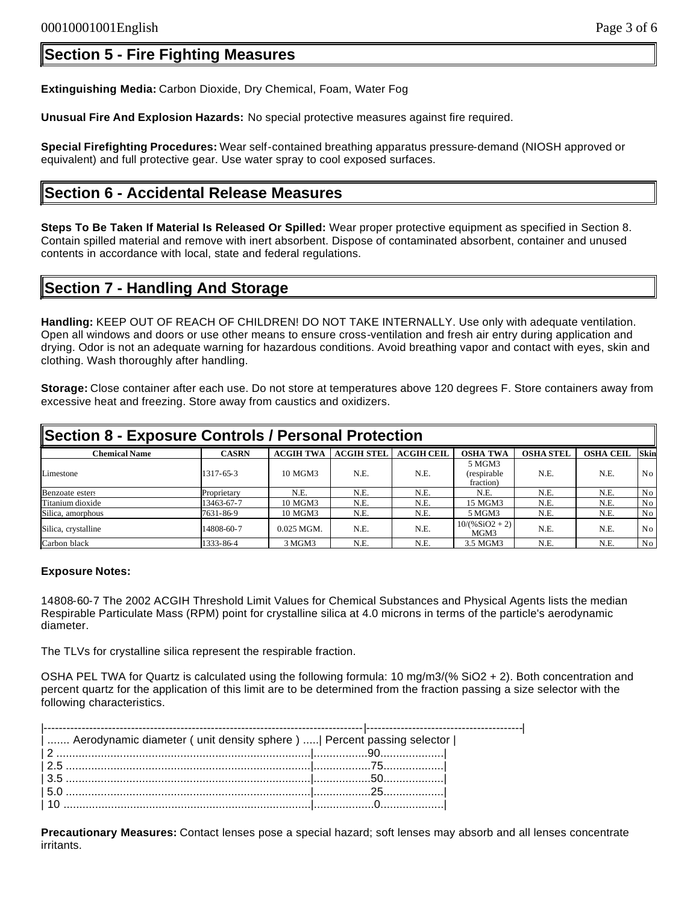## **Section 5 - Fire Fighting Measures**

**Extinguishing Media:** Carbon Dioxide, Dry Chemical, Foam, Water Fog

**Unusual Fire And Explosion Hazards:** No special protective measures against fire required.

**Special Firefighting Procedures:** Wear self-contained breathing apparatus pressure-demand (NIOSH approved or equivalent) and full protective gear. Use water spray to cool exposed surfaces.

### **Section 6 - Accidental Release Measures**

**Steps To Be Taken If Material Is Released Or Spilled:** Wear proper protective equipment as specified in Section 8. Contain spilled material and remove with inert absorbent. Dispose of contaminated absorbent, container and unused contents in accordance with local, state and federal regulations.

### **Section 7 - Handling And Storage**

**Handling:** KEEP OUT OF REACH OF CHILDREN! DO NOT TAKE INTERNALLY. Use only with adequate ventilation. Open all windows and doors or use other means to ensure cross-ventilation and fresh air entry during application and drying. Odor is not an adequate warning for hazardous conditions. Avoid breathing vapor and contact with eyes, skin and clothing. Wash thoroughly after handling.

**Storage:** Close container after each use. Do not store at temperatures above 120 degrees F. Store containers away from excessive heat and freezing. Store away from caustics and oxidizers.

| Section 8 - Exposure Controls / Personal Protection |              |                  |                   |                   |                                    |                  |                  |                |
|-----------------------------------------------------|--------------|------------------|-------------------|-------------------|------------------------------------|------------------|------------------|----------------|
| <b>Chemical Name</b>                                | <b>CASRN</b> | <b>ACGIH TWA</b> | <b>ACGIH STEL</b> | <b>ACGIH CEIL</b> | <b>OSHA TWA</b>                    | <b>OSHA STEL</b> | <b>OSHA CEIL</b> | Skin           |
| Limestone                                           | 1317-65-3    | 10 MGM3          | N.E.              | N.E.              | 5 MGM3<br>(respirable<br>fraction) | N.E.             | N.E.             | No.            |
| Benzoate esters                                     | Proprietary  | N.E.             | N.E.              | N.E.              | N.E.                               | N.E.             | N.E.             | No             |
| Titanium dioxide                                    | 13463-67-7   | 10 MGM3          | N.E.              | N.E.              | 15 MGM3                            | N.E.             | N.E.             | N <sub>0</sub> |
| Silica, amorphous                                   | 7631-86-9    | 10 MGM3          | N.E.              | N.E.              | 5 MGM3                             | N.E.             | N.E.             | No             |
| Silica, crystalline                                 | 14808-60-7   | $0.025$ MGM.     | N.E.              | N.E.              | $10/(%SiO2 + 2)$<br>MGM3           | N.E.             | N.E.             | No             |
| Carbon black                                        | 1333-86-4    | 3 MGM3           | N.E.              | N.E.              | 3.5 MGM3                           | N.E.             | N.E.             | No             |

#### **Exposure Notes:**

14808-60-7 The 2002 ACGIH Threshold Limit Values for Chemical Substances and Physical Agents lists the median Respirable Particulate Mass (RPM) point for crystalline silica at 4.0 microns in terms of the particle's aerodynamic diameter.

The TLVs for crystalline silica represent the respirable fraction.

OSHA PEL TWA for Quartz is calculated using the following formula: 10 mg/m3/(% SiO2 + 2). Both concentration and percent quartz for the application of this limit are to be determined from the fraction passing a size selector with the following characteristics.

| -------------------------------------                                  |  |
|------------------------------------------------------------------------|--|
| Aerodynamic diameter (unit density sphere)    Percent passing selector |  |
|                                                                        |  |
|                                                                        |  |
|                                                                        |  |
|                                                                        |  |
|                                                                        |  |

**Precautionary Measures:** Contact lenses pose a special hazard; soft lenses may absorb and all lenses concentrate irritants.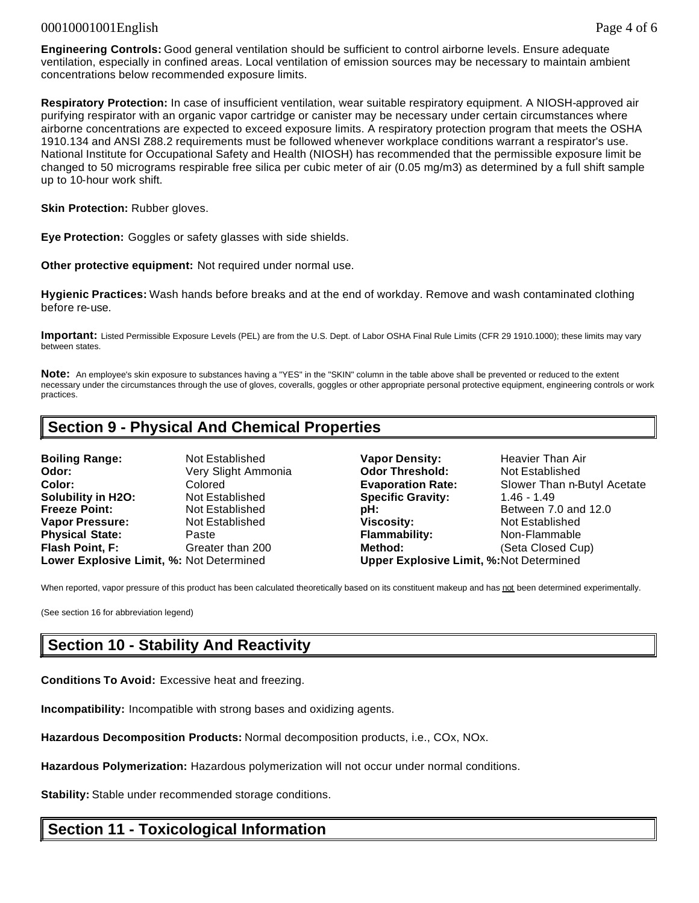#### 00010001001English Page 4 of 6

**Engineering Controls:** Good general ventilation should be sufficient to control airborne levels. Ensure adequate ventilation, especially in confined areas. Local ventilation of emission sources may be necessary to maintain ambient concentrations below recommended exposure limits.

**Respiratory Protection:** In case of insufficient ventilation, wear suitable respiratory equipment. A NIOSH-approved air purifying respirator with an organic vapor cartridge or canister may be necessary under certain circumstances where airborne concentrations are expected to exceed exposure limits. A respiratory protection program that meets the OSHA 1910.134 and ANSI Z88.2 requirements must be followed whenever workplace conditions warrant a respirator's use. National Institute for Occupational Safety and Health (NIOSH) has recommended that the permissible exposure limit be changed to 50 micrograms respirable free silica per cubic meter of air (0.05 mg/m3) as determined by a full shift sample up to 10-hour work shift.

**Skin Protection: Rubber gloves.** 

**Eye Protection:** Goggles or safety glasses with side shields.

**Other protective equipment:** Not required under normal use.

**Hygienic Practices:** Wash hands before breaks and at the end of workday. Remove and wash contaminated clothing before re-use.

**Important:** Listed Permissible Exposure Levels (PEL) are from the U.S. Dept. of Labor OSHA Final Rule Limits (CFR 29 1910.1000); these limits may vary between states.

**Note:** An employee's skin exposure to substances having a "YES" in the "SKIN" column in the table above shall be prevented or reduced to the extent necessary under the circumstances through the use of gloves, coveralls, goggles or other appropriate personal protective equipment, engineering controls or work practices.

### **Section 9 - Physical And Chemical Properties**

| <b>Boiling Range:</b>                    | Not Established     |
|------------------------------------------|---------------------|
| Odor:                                    | Very Slight Ammonia |
| Color:                                   | Colored             |
| <b>Solubility in H2O:</b>                | Not Established     |
| <b>Freeze Point:</b>                     | Not Established     |
| <b>Vapor Pressure:</b>                   | Not Established     |
| <b>Physical State:</b>                   | Paste               |
| Flash Point, F:                          | Greater than 200    |
| Lower Explosive Limit, %: Not Determined |                     |

**Vapor Density:** Heavier Than Air **Odor Threshold:** Not Established **Evaporation Rate:** Slower Than n-Butyl Acetate **Specific Gravity: 1.46 - 1.49 pH: Between 7.0 and 12.0 Viscosity: Not Established Flammability:** Non-Flammable **Figure 1.5 Method:** (Seta Closed Cup) **Lower Explosive Limit, %:** Not Determined **Upper Explosive Limit, %:**Not Determined

When reported, vapor pressure of this product has been calculated theoretically based on its constituent makeup and has not been determined experimentally.

(See section 16 for abbreviation legend)

### **Section 10 - Stability And Reactivity**

**Conditions To Avoid:** Excessive heat and freezing.

**Incompatibility:** Incompatible with strong bases and oxidizing agents.

**Hazardous Decomposition Products:** Normal decomposition products, i.e., COx, NOx.

**Hazardous Polymerization:** Hazardous polymerization will not occur under normal conditions.

**Stability:** Stable under recommended storage conditions.

### **Section 11 - Toxicological Information**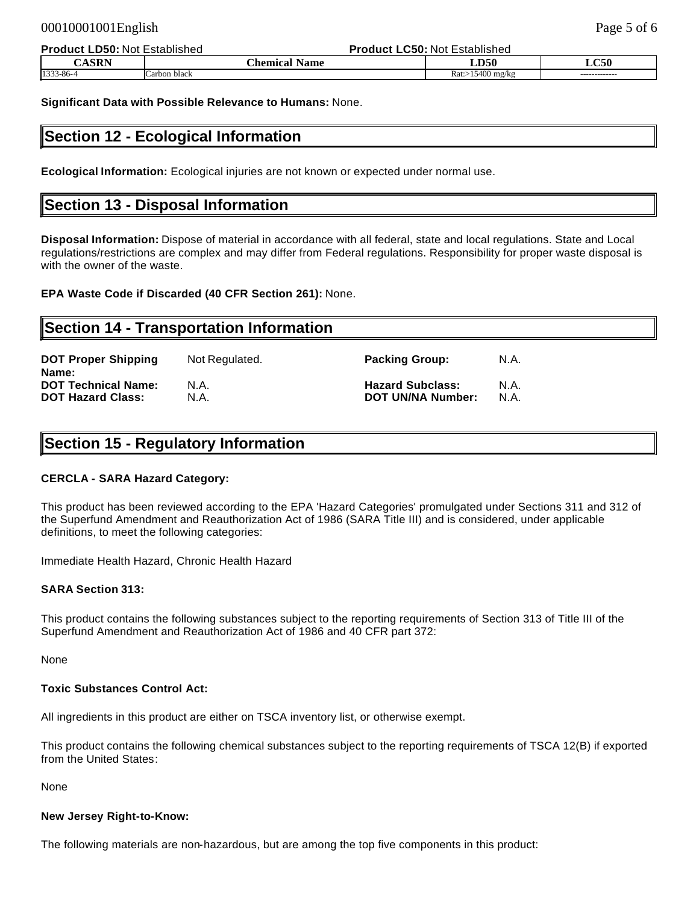| <b>Product LD50:</b> | : Not Established<br>Product L | LC50: Not Established |               |
|----------------------|--------------------------------|-----------------------|---------------|
| CASRN                | <b>Name</b><br><b>Chemical</b> | LD50                  | LC50          |
| 1333-86-4            | Carbon black                   | $Rat: > 15400$ mg/kg  | ------------- |

**Significant Data with Possible Relevance to Humans:** None.

### **Section 12 - Ecological Information**

**Ecological Information:** Ecological injuries are not known or expected under normal use.

### **Section 13 - Disposal Information**

**Disposal Information:** Dispose of material in accordance with all federal, state and local regulations. State and Local regulations/restrictions are complex and may differ from Federal regulations. Responsibility for proper waste disposal is with the owner of the waste.

**EPA Waste Code if Discarded (40 CFR Section 261):** None.

#### **Section 14 - Transportation Information**

| <b>DOT Proper Shipping</b><br>Name: | Not Regulated. | <b>Packing Group:</b>    | N.A. |
|-------------------------------------|----------------|--------------------------|------|
| <b>DOT Technical Name:</b>          | N.A.           | <b>Hazard Subclass:</b>  | N.A. |
| <b>DOT Hazard Class:</b>            | N.A.           | <b>DOT UN/NA Number:</b> | N.A. |

### **Section 15 - Regulatory Information**

#### **CERCLA - SARA Hazard Category:**

This product has been reviewed according to the EPA 'Hazard Categories' promulgated under Sections 311 and 312 of the Superfund Amendment and Reauthorization Act of 1986 (SARA Title III) and is considered, under applicable definitions, to meet the following categories:

Immediate Health Hazard, Chronic Health Hazard

#### **SARA Section 313:**

This product contains the following substances subject to the reporting requirements of Section 313 of Title III of the Superfund Amendment and Reauthorization Act of 1986 and 40 CFR part 372:

None

#### **Toxic Substances Control Act:**

All ingredients in this product are either on TSCA inventory list, or otherwise exempt.

This product contains the following chemical substances subject to the reporting requirements of TSCA 12(B) if exported from the United States:

None

#### **New Jersey Right-to-Know:**

The following materials are non-hazardous, but are among the top five components in this product: